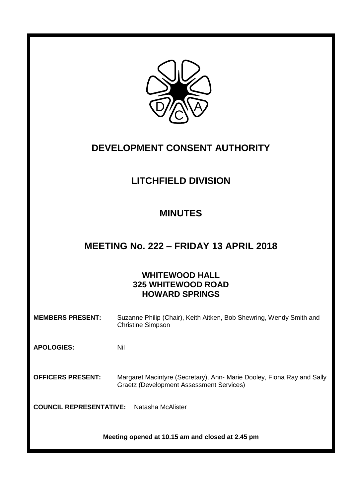

# **DEVELOPMENT CONSENT AUTHORITY**

# **LITCHFIELD DIVISION**

# **MINUTES**

## **MEETING No. 222 – FRIDAY 13 APRIL 2018**

## **WHITEWOOD HALL 325 WHITEWOOD ROAD HOWARD SPRINGS**

| <b>MEMBERS PRESENT:</b>  | Suzanne Philip (Chair), Keith Aitken, Bob Shewring, Wendy Smith and<br><b>Christine Simpson</b>                           |
|--------------------------|---------------------------------------------------------------------------------------------------------------------------|
| <b>APOLOGIES:</b>        | Nil                                                                                                                       |
| <b>OFFICERS PRESENT:</b> | Margaret Macintyre (Secretary), Ann- Marie Dooley, Fiona Ray and Sally<br><b>Graetz (Development Assessment Services)</b> |

**COUNCIL REPRESENTATIVE:** Natasha McAlister

**Meeting opened at 10.15 am and closed at 2.45 pm**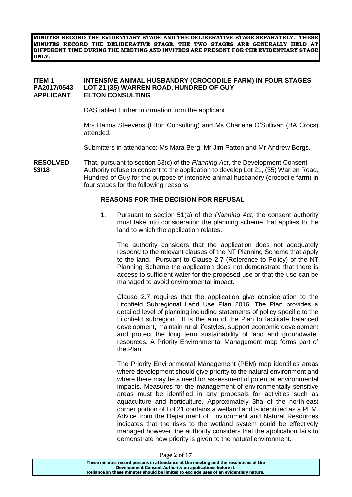**MINUTES RECORD THE EVIDENTIARY STAGE AND THE DELIBERATIVE STAGE SEPARATELY. THESE MINUTES RECORD THE DELIBERATIVE STAGE. THE TWO STAGES ARE GENERALLY HELD AT DIFFERENT TIME DURING THE MEETING AND INVITEES ARE PRESENT FOR THE EVIDENTIARY STAGE ONLY.**

#### **ITEM 1 INTENSIVE ANIMAL HUSBANDRY (CROCODILE FARM) IN FOUR STAGES PA2017/0543 LOT 21 (35) WARREN ROAD, HUNDRED OF GUY APPLICANT ELTON CONSULTING**

DAS tabled further information from the applicant.

Mrs Hanna Steevens (Elton Consulting) and Ms Charlene O'Sullivan (BA Crocs) attended.

Submitters in attendance: Ms Mara Berg, Mr Jim Patton and Mr Andrew Bergs.

**RESOLVED** That, pursuant to section 53(c) of the *Planning Act*, the Development Consent **53/18** Authority refuse to consent to the application to develop Lot 21, (35) Warren Road, Hundred of Guy for the purpose of intensive animal husbandry (crocodile farm) in four stages for the following reasons:

#### **REASONS FOR THE DECISION FOR REFUSAL**

1. Pursuant to section 51(a) of the *Planning Act*, the consent authority must take into consideration the planning scheme that applies to the land to which the application relates.

The authority considers that the application does not adequately respond to the relevant clauses of the NT Planning Scheme that apply to the land. Pursuant to Clause 2.7 (Reference to Policy) of the NT Planning Scheme the application does not demonstrate that there is access to sufficient water for the proposed use or that the use can be managed to avoid environmental impact.

Clause 2.7 requires that the application give consideration to the Litchfield Subregional Land Use Plan 2016. The Plan provides a detailed level of planning including statements of policy specific to the Litchfield subregion. It is the aim of the Plan to facilitate balanced development, maintain rural lifestyles, support economic development and protect the long term sustainability of land and groundwater resources. A Priority Environmental Management map forms part of the Plan.

The Priority Environmental Management (PEM) map identifies areas where development should give priority to the natural environment and where there may be a need for assessment of potential environmental impacts. Measures for the management of environmentally sensitive areas must be identified in any proposals for activities such as aquaculture and horticulture. Approximately 3ha of the north-east corner portion of Lot 21 contains a wetland and is identified as a PEM. Advice from the Department of Environment and Natural Resources indicates that the risks to the wetland system could be effectively managed however, the authority considers that the application fails to demonstrate how priority is given to the natural environment.

**Page 2 of 17**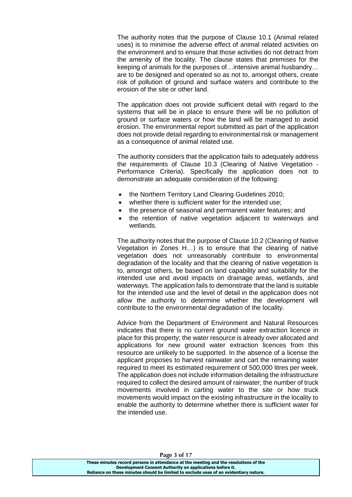The authority notes that the purpose of Clause 10.1 (Animal related uses) is to minimise the adverse effect of animal related activities on the environment and to ensure that those activities do not detract from the amenity of the locality. The clause states that premises for the keeping of animals for the purposes of…intensive animal husbandry… are to be designed and operated so as not to, amongst others, create risk of pollution of ground and surface waters and contribute to the erosion of the site or other land.

The application does not provide sufficient detail with regard to the systems that will be in place to ensure there will be no pollution of ground or surface waters or how the land will be managed to avoid erosion. The environmental report submitted as part of the application does not provide detail regarding to environmental risk or management as a consequence of animal related use.

The authority considers that the application fails to adequately address the requirements of Clause 10.3 (Clearing of Native Vegetation - Performance Criteria). Specifically the application does not to demonstrate an adequate consideration of the following:

- the Northern Territory Land Clearing Guidelines 2010;
- whether there is sufficient water for the intended use:
- the presence of seasonal and permanent water features; and
- the retention of native vegetation adjacent to waterways and wetlands.

The authority notes that the purpose of Clause 10.2 (Clearing of Native Vegetation in Zones H…) is to ensure that the clearing of native vegetation does not unreasonably contribute to environmental degradation of the locality and that the clearing of native vegetation is to, amongst others, be based on land capability and suitability for the intended use and avoid impacts on drainage areas, wetlands, and waterways. The application fails to demonstrate that the land is suitable for the intended use and the level of detail in the application does not allow the authority to determine whether the development will contribute to the environmental degradation of the locality.

Advice from the Department of Environment and Natural Resources indicates that there is no current ground water extraction licence in place for this property; the water resource is already over allocated and applications for new ground water extraction licences from this resource are unlikely to be supported. In the absence of a license the applicant proposes to harvest rainwater and cart the remaining water required to meet its estimated requirement of 500,000 litres per week. The application does not include information detailing the infrastructure required to collect the desired amount of rainwater; the number of truck movements involved in carting water to the site or how truck movements would impact on the existing infrastructure in the locality to enable the authority to determine whether there is sufficient water for the intended use.

**Page 3 of 17**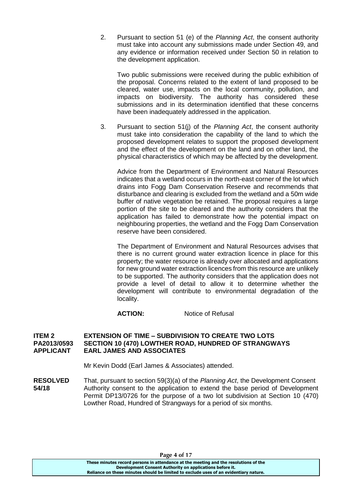2. Pursuant to section 51 (e) of the *Planning Act*, the consent authority must take into account any submissions made under Section 49, and any evidence or information received under Section 50 in relation to the development application.

Two public submissions were received during the public exhibition of the proposal. Concerns related to the extent of land proposed to be cleared, water use, impacts on the local community, pollution, and impacts on biodiversity. The authority has considered these submissions and in its determination identified that these concerns have been inadequately addressed in the application.

3. Pursuant to section 51(j) of the *Planning Act*, the consent authority must take into consideration the capability of the land to which the proposed development relates to support the proposed development and the effect of the development on the land and on other land, the physical characteristics of which may be affected by the development.

Advice from the Department of Environment and Natural Resources indicates that a wetland occurs in the north-east corner of the lot which drains into Fogg Dam Conservation Reserve and recommends that disturbance and clearing is excluded from the wetland and a 50m wide buffer of native vegetation be retained. The proposal requires a large portion of the site to be cleared and the authority considers that the application has failed to demonstrate how the potential impact on neighbouring properties, the wetland and the Fogg Dam Conservation reserve have been considered.

The Department of Environment and Natural Resources advises that there is no current ground water extraction licence in place for this property; the water resource is already over allocated and applications for new ground water extraction licences from this resource are unlikely to be supported. The authority considers that the application does not provide a level of detail to allow it to determine whether the development will contribute to environmental degradation of the locality.

## **ACTION:** Notice of Refusal

#### **ITEM 2 EXTENSION OF TIME – SUBDIVISION TO CREATE TWO LOTS PA2013/0593 SECTION 10 (470) LOWTHER ROAD, HUNDRED OF STRANGWAYS APPLICANT EARL JAMES AND ASSOCIATES**

Mr Kevin Dodd (Earl James & Associates) attended.

**RESOLVED** That, pursuant to section 59(3)(a) of the *Planning Act*, the Development Consent **54/18** Authority consent to the application to extend the base period of Development Permit DP13/0726 for the purpose of a two lot subdivision at Section 10 (470) Lowther Road, Hundred of Strangways for a period of six months.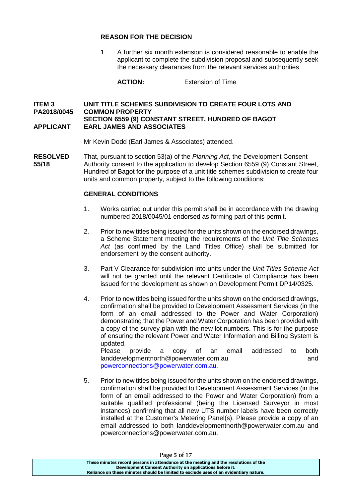#### **REASON FOR THE DECISION**

1. A further six month extension is considered reasonable to enable the applicant to complete the subdivision proposal and subsequently seek the necessary clearances from the relevant services authorities.

**ACTION:** Extension of Time

### **ITEM 3 UNIT TITLE SCHEMES SUBDIVISION TO CREATE FOUR LOTS AND PA2018/0045 COMMON PROPERTY SECTION 6559 (9) CONSTANT STREET, HUNDRED OF BAGOT APPLICANT EARL JAMES AND ASSOCIATES**

Mr Kevin Dodd (Earl James & Associates) attended.

**RESOLVED** That, pursuant to section 53(a) of the *Planning Act*, the Development Consent **55/18** Authority consent to the application to develop Section 6559 (9) Constant Street, Hundred of Bagot for the purpose of a unit title schemes subdivision to create four units and common property, subject to the following conditions:

### **GENERAL CONDITIONS**

- 1. Works carried out under this permit shall be in accordance with the drawing numbered 2018/0045/01 endorsed as forming part of this permit.
- 2. Prior to new titles being issued for the units shown on the endorsed drawings, a Scheme Statement meeting the requirements of the *Unit Title Schemes Act* (as confirmed by the Land Titles Office) shall be submitted for endorsement by the consent authority.
- 3. Part V Clearance for subdivision into units under the *Unit Titles Scheme Act* will not be granted until the relevant Certificate of Compliance has been issued for the development as shown on Development Permit DP14/0325.
- 4. Prior to new titles being issued for the units shown on the endorsed drawings, confirmation shall be provided to Development Assessment Services (in the form of an email addressed to the Power and Water Corporation) demonstrating that the Power and Water Corporation has been provided with a copy of the survey plan with the new lot numbers. This is for the purpose of ensuring the relevant Power and Water Information and Billing System is updated.

Please provide a copy of an email addressed to both landdevelopmentnorth@powerwater.com.au button and and [powerconnections@powerwater.com.au.](mailto:powerconnections@powerwater.com.au)

5. Prior to new titles being issued for the units shown on the endorsed drawings, confirmation shall be provided to Development Assessment Services (in the form of an email addressed to the Power and Water Corporation) from a suitable qualified professional (being the Licensed Surveyor in most instances) confirming that all new UTS number labels have been correctly installed at the Customer's Metering Panel(s). Please provide a copy of an email addressed to both landdevelopmentnorth@powerwater.com.au and [powerconnections@powerwater.com.au.](mailto:powerconnections@powerwater.com.au)

| Page 5 or 17                                                                          |  |
|---------------------------------------------------------------------------------------|--|
| These minutes record persons in attendance at the meeting and the resolutions of the  |  |
| Development Consent Authority on applications before it.                              |  |
| Reliance on these minutes should be limited to exclude uses of an evidentiary nature. |  |

**Page 5 of 17**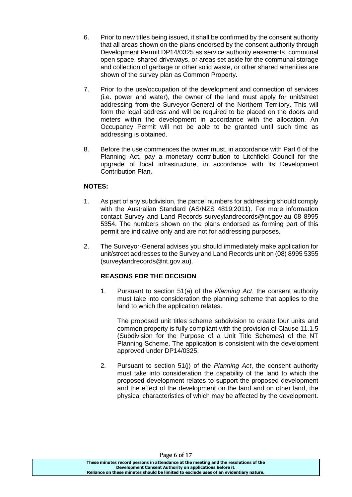- 6. Prior to new titles being issued, it shall be confirmed by the consent authority that all areas shown on the plans endorsed by the consent authority through Development Permit DP14/0325 as service authority easements, communal open space, shared driveways, or areas set aside for the communal storage and collection of garbage or other solid waste, or other shared amenities are shown of the survey plan as Common Property.
- 7. Prior to the use/occupation of the development and connection of services (i.e. power and water), the owner of the land must apply for unit/street addressing from the Surveyor-General of the Northern Territory. This will form the legal address and will be required to be placed on the doors and meters within the development in accordance with the allocation. An Occupancy Permit will not be able to be granted until such time as addressing is obtained.
- 8. Before the use commences the owner must, in accordance with Part 6 of the Planning Act, pay a monetary contribution to Litchfield Council for the upgrade of local infrastructure, in accordance with its Development Contribution Plan.

## **NOTES:**

- 1. As part of any subdivision, the parcel numbers for addressing should comply with the Australian Standard (AS/NZS 4819:2011). For more information contact Survey and Land Records surveylandrecords@nt.gov.au 08 8995 5354. The numbers shown on the plans endorsed as forming part of this permit are indicative only and are not for addressing purposes.
- 2. The Surveyor-General advises you should immediately make application for unit/street addresses to the Survey and Land Records unit on (08) 8995 5355 (surveylandrecords@nt.gov.au).

## **REASONS FOR THE DECISION**

1. Pursuant to section 51(a) of the *Planning Act*, the consent authority must take into consideration the planning scheme that applies to the land to which the application relates.

The proposed unit titles scheme subdivision to create four units and common property is fully compliant with the provision of Clause 11.1.5 (Subdivision for the Purpose of a Unit Title Schemes) of the NT Planning Scheme. The application is consistent with the development approved under DP14/0325.

2. Pursuant to section 51(j) of the *Planning Act*, the consent authority must take into consideration the capability of the land to which the proposed development relates to support the proposed development and the effect of the development on the land and on other land, the physical characteristics of which may be affected by the development.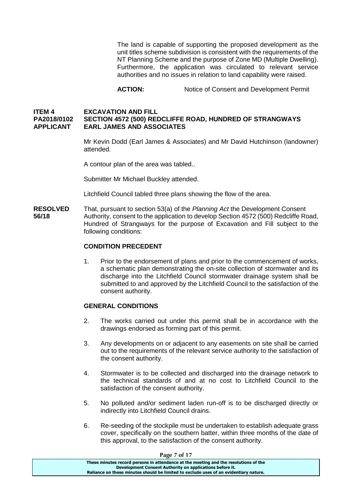The land is capable of supporting the proposed development as the unit titles scheme subdivision is consistent with the requirements of the NT Planning Scheme and the purpose of Zone MD (Multiple Dwelling). Furthermore, the application was circulated to relevant service authorities and no issues in relation to land capability were raised.

**ACTION:** Notice of Consent and Development Permit

### **ITEM 4 EXCAVATION AND FILL PA2018/0102 SECTION 4572 (500) REDCLIFFE ROAD, HUNDRED OF STRANGWAYS APPLICANT EARL JAMES AND ASSOCIATES**

Mr Kevin Dodd (Earl James & Associates) and Mr David Hutchinson (landowner) attended.

A contour plan of the area was tabled..

Submitter Mr Michael Buckley attended.

Litchfield Council tabled three plans showing the flow of the area.

**RESOLVED** That, pursuant to section 53(a) of the *Planning Act* the Development Consent **56/18** Authority, consent to the application to develop Section 4572 (500) Redcliffe Road, Hundred of Strangways for the purpose of Excavation and Fill subject to the following conditions:

#### **CONDITION PRECEDENT**

1. Prior to the endorsement of plans and prior to the commencement of works, a schematic plan demonstrating the on-site collection of stormwater and its discharge into the Litchfield Council stormwater drainage system shall be submitted to and approved by the Litchfield Council to the satisfaction of the consent authority.

#### **GENERAL CONDITIONS**

- 2. The works carried out under this permit shall be in accordance with the drawings endorsed as forming part of this permit.
- 3. Any developments on or adjacent to any easements on site shall be carried out to the requirements of the relevant service authority to the satisfaction of the consent authority.
- 4. Stormwater is to be collected and discharged into the drainage network to the technical standards of and at no cost to Litchfield Council to the satisfaction of the consent authority.
- 5. No polluted and/or sediment laden run-off is to be discharged directly or indirectly into Litchfield Council drains.
- 6. Re-seeding of the stockpile must be undertaken to establish adequate grass cover, specifically on the southern batter, within three months of the date of this approval, to the satisfaction of the consent authority.

**Page 7 of 17**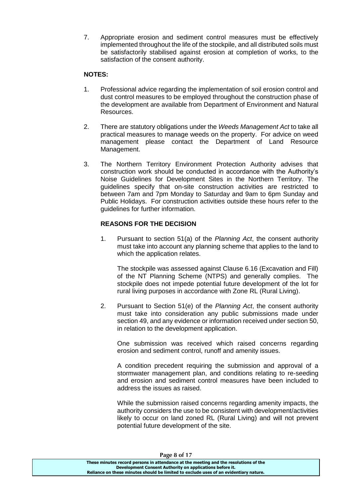7. Appropriate erosion and sediment control measures must be effectively implemented throughout the life of the stockpile, and all distributed soils must be satisfactorily stabilised against erosion at completion of works, to the satisfaction of the consent authority.

## **NOTES:**

- 1. Professional advice regarding the implementation of soil erosion control and dust control measures to be employed throughout the construction phase of the development are available from Department of Environment and Natural Resources.
- 2. There are statutory obligations under the *Weeds Management Act* to take all practical measures to manage weeds on the property. For advice on weed management please contact the Department of Land Resource Management.
- 3. The Northern Territory Environment Protection Authority advises that construction work should be conducted in accordance with the Authority's Noise Guidelines for Development Sites in the Northern Territory. The guidelines specify that on-site construction activities are restricted to between 7am and 7pm Monday to Saturday and 9am to 6pm Sunday and Public Holidays. For construction activities outside these hours refer to the guidelines for further information.

## **REASONS FOR THE DECISION**

1. Pursuant to section 51(a) of the *Planning Act*, the consent authority must take into account any planning scheme that applies to the land to which the application relates.

The stockpile was assessed against Clause 6.16 (Excavation and Fill) of the NT Planning Scheme (NTPS) and generally complies. The stockpile does not impede potential future development of the lot for rural living purposes in accordance with Zone RL (Rural Living).

2. Pursuant to Section 51(e) of the *Planning Act*, the consent authority must take into consideration any public submissions made under section 49, and any evidence or information received under section 50, in relation to the development application.

One submission was received which raised concerns regarding erosion and sediment control, runoff and amenity issues.

A condition precedent requiring the submission and approval of a stormwater management plan, and conditions relating to re-seeding and erosion and sediment control measures have been included to address the issues as raised.

While the submission raised concerns regarding amenity impacts, the authority considers the use to be consistent with development/activities likely to occur on land zoned RL (Rural Living) and will not prevent potential future development of the site.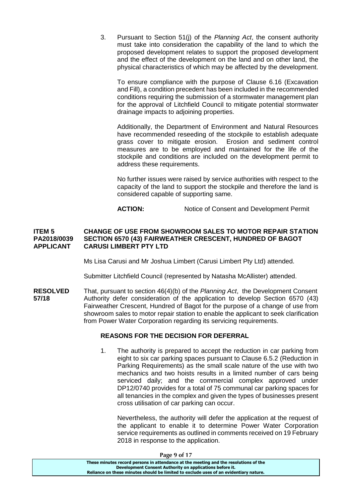3. Pursuant to Section 51(j) of the *Planning Act*, the consent authority must take into consideration the capability of the land to which the proposed development relates to support the proposed development and the effect of the development on the land and on other land, the physical characteristics of which may be affected by the development.

To ensure compliance with the purpose of Clause 6.16 (Excavation and Fill), a condition precedent has been included in the recommended conditions requiring the submission of a stormwater management plan for the approval of Litchfield Council to mitigate potential stormwater drainage impacts to adjoining properties.

Additionally, the Department of Environment and Natural Resources have recommended reseeding of the stockpile to establish adequate grass cover to mitigate erosion. Erosion and sediment control measures are to be employed and maintained for the life of the stockpile and conditions are included on the development permit to address these requirements.

No further issues were raised by service authorities with respect to the capacity of the land to support the stockpile and therefore the land is considered capable of supporting same.

**ACTION:** Notice of Consent and Development Permit

#### **ITEM 5 CHANGE OF USE FROM SHOWROOM SALES TO MOTOR REPAIR STATION PA2018/0039 SECTION 6570 (43) FAIRWEATHER CRESCENT, HUNDRED OF BAGOT APPLICANT CARUSI LIMBERT PTY LTD**

Ms Lisa Carusi and Mr Joshua Limbert (Carusi Limbert Pty Ltd) attended.

Submitter Litchfield Council (represented by Natasha McAllister) attended.

**RESOLVED** That, pursuant to section 46(4)(b) of the *Planning Act*, the Development Consent **57/18** Authority defer consideration of the application to develop Section 6570 (43) Fairweather Crescent, Hundred of Bagot for the purpose of a change of use from showroom sales to motor repair station to enable the applicant to seek clarification from Power Water Corporation regarding its servicing requirements.

## **REASONS FOR THE DECISION FOR DEFERRAL**

1. The authority is prepared to accept the reduction in car parking from eight to six car parking spaces pursuant to Clause 6.5.2 (Reduction in Parking Requirements) as the small scale nature of the use with two mechanics and two hoists results in a limited number of cars being serviced daily; and the commercial complex approved under DP12/0740 provides for a total of 75 communal car parking spaces for all tenancies in the complex and given the types of businesses present cross utilisation of car parking can occur.

Nevertheless, the authority will defer the application at the request of the applicant to enable it to determine Power Water Corporation service requirements as outlined in comments received on 19 February 2018 in response to the application.

**Page 9 of 17**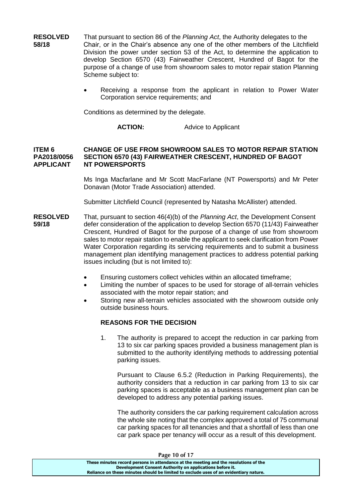**RESOLVED** That pursuant to section 86 of the *Planning Act*, the Authority delegates to the **58/18** Chair, or in the Chair's absence any one of the other members of the Litchfield Division the power under section 53 of the Act, to determine the application to develop Section 6570 (43) Fairweather Crescent, Hundred of Bagot for the purpose of a change of use from showroom sales to motor repair station Planning Scheme subject to:

> Receiving a response from the applicant in relation to Power Water Corporation service requirements; and

Conditions as determined by the delegate.

**ACTION:** Advice to Applicant

#### **ITEM 6 CHANGE OF USE FROM SHOWROOM SALES TO MOTOR REPAIR STATION PA2018/0056 SECTION 6570 (43) FAIRWEATHER CRESCENT, HUNDRED OF BAGOT APPLICANT NT POWERSPORTS**

Ms Inga Macfarlane and Mr Scott MacFarlane (NT Powersports) and Mr Peter Donavan (Motor Trade Association) attended.

Submitter Litchfield Council (represented by Natasha McAllister) attended.

- **RESOLVED** That, pursuant to section 46(4)(b) of the *Planning Act*, the Development Consent **59/18** defer consideration of the application to develop Section 6570 (11/43) Fairweather Crescent, Hundred of Bagot for the purpose of a change of use from showroom sales to motor repair station to enable the applicant to seek clarification from Power Water Corporation regarding its servicing requirements and to submit a business management plan identifying management practices to address potential parking issues including (but is not limited to):
	- Ensuring customers collect vehicles within an allocated timeframe;
	- Limiting the number of spaces to be used for storage of all-terrain vehicles associated with the motor repair station; and
	- Storing new all-terrain vehicles associated with the showroom outside only outside business hours.

#### **REASONS FOR THE DECISION**

1. The authority is prepared to accept the reduction in car parking from 13 to six car parking spaces provided a business management plan is submitted to the authority identifying methods to addressing potential parking issues.

Pursuant to Clause 6.5.2 (Reduction in Parking Requirements), the authority considers that a reduction in car parking from 13 to six car parking spaces is acceptable as a business management plan can be developed to address any potential parking issues.

The authority considers the car parking requirement calculation across the whole site noting that the complex approved a total of 75 communal car parking spaces for all tenancies and that a shortfall of less than one car park space per tenancy will occur as a result of this development.

| Page 10 of 17                                                                         |  |
|---------------------------------------------------------------------------------------|--|
| These minutes record persons in attendance at the meeting and the resolutions of the  |  |
| Development Consent Authority on applications before it.                              |  |
| Reliance on these minutes should be limited to exclude uses of an evidentiary nature. |  |
|                                                                                       |  |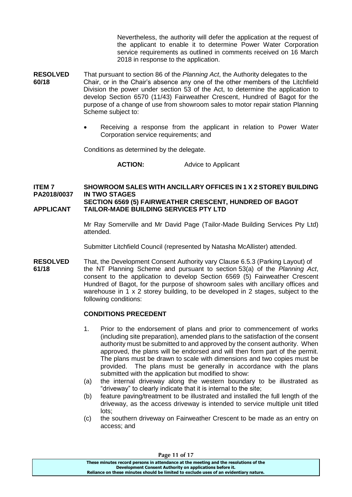Nevertheless, the authority will defer the application at the request of the applicant to enable it to determine Power Water Corporation service requirements as outlined in comments received on 16 March 2018 in response to the application.

- **RESOLVED** That pursuant to section 86 of the *Planning Act*, the Authority delegates to the **60/18** Chair, or in the Chair's absence any one of the other members of the Litchfield Division the power under section 53 of the Act, to determine the application to develop Section 6570 (11/43) Fairweather Crescent, Hundred of Bagot for the purpose of a change of use from showroom sales to motor repair station Planning Scheme subject to:
	- Receiving a response from the applicant in relation to Power Water Corporation service requirements; and

Conditions as determined by the delegate.

**ACTION:** Advice to Applicant

## **ITEM 7 SHOWROOM SALES WITH ANCILLARY OFFICES IN 1 X 2 STOREY BUILDING PA2018/0037 IN TWO STAGES SECTION 6569 (5) FAIRWEATHER CRESCENT, HUNDRED OF BAGOT**

## **APPLICANT TAILOR-MADE BUILDING SERVICES PTY LTD**

Mr Ray Somerville and Mr David Page (Tailor-Made Building Services Pty Ltd) attended.

Submitter Litchfield Council (represented by Natasha McAllister) attended.

**RESOLVED** That, the Development Consent Authority vary Clause 6.5.3 (Parking Layout) of **61/18** the NT Planning Scheme and pursuant to section 53(a) of the *Planning Act*, consent to the application to develop Section 6569 (5) Fairweather Crescent Hundred of Bagot, for the purpose of showroom sales with ancillary offices and warehouse in 1 x 2 storey building, to be developed in 2 stages, subject to the following conditions:

## **CONDITIONS PRECEDENT**

- 1. Prior to the endorsement of plans and prior to commencement of works (including site preparation), amended plans to the satisfaction of the consent authority must be submitted to and approved by the consent authority. When approved, the plans will be endorsed and will then form part of the permit. The plans must be drawn to scale with dimensions and two copies must be provided. The plans must be generally in accordance with the plans submitted with the application but modified to show:
- (a) the internal driveway along the western boundary to be illustrated as "driveway" to clearly indicate that it is internal to the site;
- (b) feature paving/treatment to be illustrated and installed the full length of the driveway, as the access driveway is intended to service multiple unit titled lots;
- (c) the southern driveway on Fairweather Crescent to be made as an entry on access; and

| Page 11 of 17                                                                         |  |
|---------------------------------------------------------------------------------------|--|
| These minutes record persons in attendance at the meeting and the resolutions of the  |  |
| Development Consent Authority on applications before it.                              |  |
| Reliance on these minutes should be limited to exclude uses of an evidentiary nature. |  |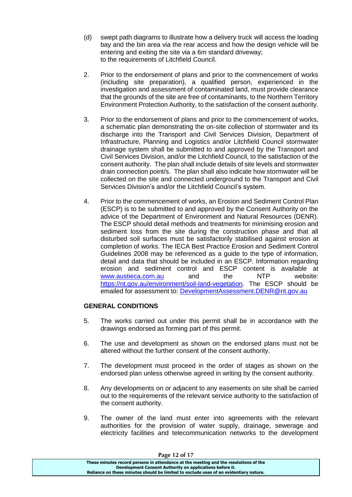- (d) swept path diagrams to illustrate how a delivery truck will access the loading bay and the bin area via the rear access and how the design vehicle will be entering and exiting the site via a 6m standard driveway; to the requirements of Litchfield Council.
- 2. Prior to the endorsement of plans and prior to the commencement of works (including site preparation), a qualified person, experienced in the investigation and assessment of contaminated land, must provide clearance that the grounds of the site are free of contaminants, to the Northern Territory Environment Protection Authority, to the satisfaction of the consent authority.
- 3. Prior to the endorsement of plans and prior to the commencement of works, a schematic plan demonstrating the on-site collection of stormwater and its discharge into the Transport and Civil Services Division, Department of Infrastructure, Planning and Logistics and/or Litchfield Council stormwater drainage system shall be submitted to and approved by the Transport and Civil Services Division, and/or the Litchfield Council, to the satisfaction of the consent authority. The plan shall include details of site levels and stormwater drain connection point/s. The plan shall also indicate how stormwater will be collected on the site and connected underground to the Transport and Civil Services Division's and/or the Litchfield Council's system.
- 4. Prior to the commencement of works, an Erosion and Sediment Control Plan (ESCP) is to be submitted to and approved by the Consent Authority on the advice of the Department of Environment and Natural Resources (DENR). The ESCP should detail methods and treatments for minimising erosion and sediment loss from the site during the construction phase and that all disturbed soil surfaces must be satisfactorily stabilised against erosion at completion of works. The IECA Best Practice Erosion and Sediment Control Guidelines 2008 may be referenced as a guide to the type of information, detail and data that should be included in an ESCP. Information regarding erosion and sediment control and ESCP content is available at<br>www.austieca.com.au and the NTP website: [www.austieca.com.au](http://www.austieca.com.au/) and the NTP website: [https://nt.gov.au/environment/soil-land-vegetation.](https://nt.gov.au/environment/soil-land-vegetation) The ESCP should be emailed for assessment to: [DevelopmentAssessment.DENR@nt.gov.au](mailto:DevelopmentAssessment.DENR@nt.gov.au)

## **GENERAL CONDITIONS**

- 5. The works carried out under this permit shall be in accordance with the drawings endorsed as forming part of this permit.
- 6. The use and development as shown on the endorsed plans must not be altered without the further consent of the consent authority.
- 7. The development must proceed in the order of stages as shown on the endorsed plan unless otherwise agreed in writing by the consent authority.
- 8. Any developments on or adjacent to any easements on site shall be carried out to the requirements of the relevant service authority to the satisfaction of the consent authority.
- 9. The owner of the land must enter into agreements with the relevant authorities for the provision of water supply, drainage, sewerage and electricity facilities and telecommunication networks to the development

| Page 12 of 17                                                                         |  |
|---------------------------------------------------------------------------------------|--|
| These minutes record persons in attendance at the meeting and the resolutions of the  |  |
| Development Consent Authority on applications before it.                              |  |
| Reliance on these minutes should be limited to exclude uses of an evidentiary nature. |  |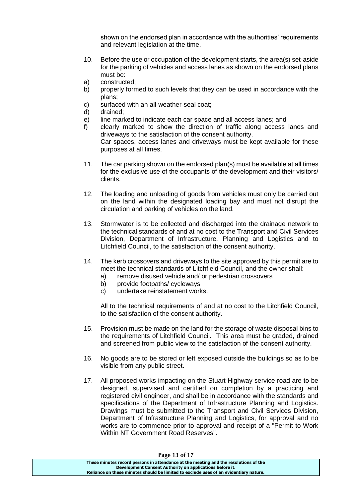shown on the endorsed plan in accordance with the authorities' requirements and relevant legislation at the time.

- 10. Before the use or occupation of the development starts, the area(s) set-aside for the parking of vehicles and access lanes as shown on the endorsed plans must be:
- a) constructed;
- b) properly formed to such levels that they can be used in accordance with the plans;
- c) surfaced with an all-weather-seal coat;
- d) drained;
- e) line marked to indicate each car space and all access lanes; and
- f) clearly marked to show the direction of traffic along access lanes and driveways to the satisfaction of the consent authority. Car spaces, access lanes and driveways must be kept available for these purposes at all times.
- 11. The car parking shown on the endorsed plan(s) must be available at all times for the exclusive use of the occupants of the development and their visitors/ clients.
- 12. The loading and unloading of goods from vehicles must only be carried out on the land within the designated loading bay and must not disrupt the circulation and parking of vehicles on the land.
- 13. Stormwater is to be collected and discharged into the drainage network to the technical standards of and at no cost to the Transport and Civil Services Division, Department of Infrastructure, Planning and Logistics and to Litchfield Council, to the satisfaction of the consent authority.
- 14. The kerb crossovers and driveways to the site approved by this permit are to meet the technical standards of Litchfield Council, and the owner shall:
	- a) remove disused vehicle and/ or pedestrian crossovers
	- b) provide footpaths/ cycleways
	- c) undertake reinstatement works.

All to the technical requirements of and at no cost to the Litchfield Council, to the satisfaction of the consent authority.

- 15. Provision must be made on the land for the storage of waste disposal bins to the requirements of Litchfield Council. This area must be graded, drained and screened from public view to the satisfaction of the consent authority.
- 16. No goods are to be stored or left exposed outside the buildings so as to be visible from any public street.
- 17. All proposed works impacting on the Stuart Highway service road are to be designed, supervised and certified on completion by a practicing and registered civil engineer, and shall be in accordance with the standards and specifications of the Department of Infrastructure Planning and Logistics. Drawings must be submitted to the Transport and Civil Services Division, Department of Infrastructure Planning and Logistics, for approval and no works are to commence prior to approval and receipt of a "Permit to Work Within NT Government Road Reserves".

| Page 13 of 17                                                                         |  |
|---------------------------------------------------------------------------------------|--|
| These minutes record persons in attendance at the meeting and the resolutions of the  |  |
| Development Consent Authority on applications before it.                              |  |
| Reliance on these minutes should be limited to exclude uses of an evidentiary nature. |  |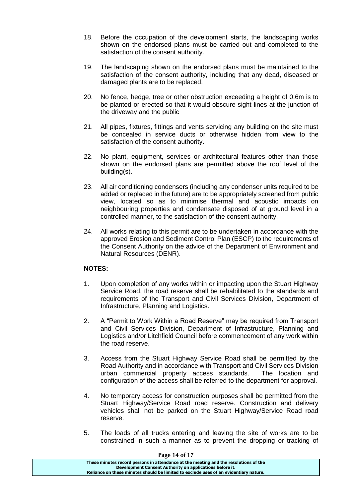- 18. Before the occupation of the development starts, the landscaping works shown on the endorsed plans must be carried out and completed to the satisfaction of the consent authority.
- 19. The landscaping shown on the endorsed plans must be maintained to the satisfaction of the consent authority, including that any dead, diseased or damaged plants are to be replaced.
- 20. No fence, hedge, tree or other obstruction exceeding a height of 0.6m is to be planted or erected so that it would obscure sight lines at the junction of the driveway and the public
- 21. All pipes, fixtures, fittings and vents servicing any building on the site must be concealed in service ducts or otherwise hidden from view to the satisfaction of the consent authority.
- 22. No plant, equipment, services or architectural features other than those shown on the endorsed plans are permitted above the roof level of the building(s).
- 23. All air conditioning condensers (including any condenser units required to be added or replaced in the future) are to be appropriately screened from public view, located so as to minimise thermal and acoustic impacts on neighbouring properties and condensate disposed of at ground level in a controlled manner, to the satisfaction of the consent authority.
- 24. All works relating to this permit are to be undertaken in accordance with the approved Erosion and Sediment Control Plan (ESCP) to the requirements of the Consent Authority on the advice of the Department of Environment and Natural Resources (DENR).

## **NOTES:**

- 1. Upon completion of any works within or impacting upon the Stuart Highway Service Road, the road reserve shall be rehabilitated to the standards and requirements of the Transport and Civil Services Division, Department of Infrastructure, Planning and Logistics.
- 2. A "Permit to Work Within a Road Reserve" may be required from Transport and Civil Services Division, Department of Infrastructure, Planning and Logistics and/or Litchfield Council before commencement of any work within the road reserve.
- 3. Access from the Stuart Highway Service Road shall be permitted by the Road Authority and in accordance with Transport and Civil Services Division urban commercial property access standards. The location and configuration of the access shall be referred to the department for approval.
- 4. No temporary access for construction purposes shall be permitted from the Stuart Highway/Service Road road reserve. Construction and delivery vehicles shall not be parked on the Stuart Highway/Service Road road reserve.
- 5. The loads of all trucks entering and leaving the site of works are to be constrained in such a manner as to prevent the dropping or tracking of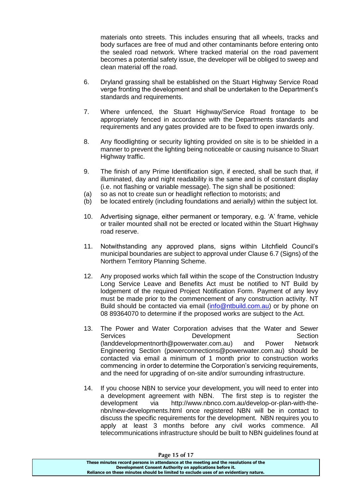materials onto streets. This includes ensuring that all wheels, tracks and body surfaces are free of mud and other contaminants before entering onto the sealed road network. Where tracked material on the road pavement becomes a potential safety issue, the developer will be obliged to sweep and clean material off the road.

- 6. Dryland grassing shall be established on the Stuart Highway Service Road verge fronting the development and shall be undertaken to the Department's standards and requirements.
- 7. Where unfenced, the Stuart Highway/Service Road frontage to be appropriately fenced in accordance with the Departments standards and requirements and any gates provided are to be fixed to open inwards only.
- 8. Any floodlighting or security lighting provided on site is to be shielded in a manner to prevent the lighting being noticeable or causing nuisance to Stuart Highway traffic.
- 9. The finish of any Prime Identification sign, if erected, shall be such that, if illuminated, day and night readability is the same and is of constant display (i.e. not flashing or variable message). The sign shall be positioned:
- (a) so as not to create sun or headlight reflection to motorists; and
- (b) be located entirely (including foundations and aerially) within the subject lot.
- 10. Advertising signage, either permanent or temporary, e.g. 'A' frame, vehicle or trailer mounted shall not be erected or located within the Stuart Highway road reserve.
- 11. Notwithstanding any approved plans, signs within Litchfield Council's municipal boundaries are subject to approval under Clause 6.7 (Signs) of the Northern Territory Planning Scheme.
- 12. Any proposed works which fall within the scope of the Construction Industry Long Service Leave and Benefits Act must be notified to NT Build by lodgement of the required Project Notification Form. Payment of any levy must be made prior to the commencement of any construction activity. NT Build should be contacted via email [\(info@ntbuild.com.au\)](mailto:info@ntbuild.com.au) or by phone on 08 89364070 to determine if the proposed works are subject to the Act.
- 13. The Power and Water Corporation advises that the Water and Sewer Services **Development** Development Section [\(landdevelopmentnorth@powerwater.com.au\)](mailto:landdevelopmentnorth@powerwater.com.au) and Power Network Engineering Section [\(powerconnections@powerwater.com.au\)](mailto:powerconnections@powerwater.com.au) should be contacted via email a minimum of 1 month prior to construction works commencing in order to determine the Corporation's servicing requirements, and the need for upgrading of on-site and/or surrounding infrastructure.
- 14. If you choose NBN to service your development, you will need to enter into a development agreement with NBN. The first step is to register the development via [http://www.nbnco.com.au/develop-or-plan-with-the](http://www.nbnco.com.au/develop-or-plan-with-the-nbn/new-developments.html)[nbn/new-developments.html](http://www.nbnco.com.au/develop-or-plan-with-the-nbn/new-developments.html) once registered NBN will be in contact to discuss the specific requirements for the development. NBN requires you to apply at least 3 months before any civil works commence. All telecommunications infrastructure should be built to NBN guidelines found at

| Page 15 of 17                                                                         |
|---------------------------------------------------------------------------------------|
| These minutes record persons in attendance at the meeting and the resolutions of the  |
| Development Consent Authority on applications before it.                              |
| Reliance on these minutes should be limited to exclude uses of an evidentiary nature. |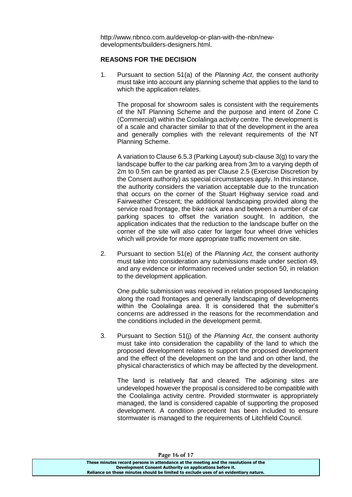[http://www.nbnco.com.au/develop-or-plan-with-the-nbn/new](http://www.nbnco.com.au/develop-or-plan-with-the-nbn/new-developments/builders-designers.html)[developments/builders-designers.html.](http://www.nbnco.com.au/develop-or-plan-with-the-nbn/new-developments/builders-designers.html)

#### **REASONS FOR THE DECISION**

1. Pursuant to section 51(a) of the *Planning Act*, the consent authority must take into account any planning scheme that applies to the land to which the application relates.

The proposal for showroom sales is consistent with the requirements of the NT Planning Scheme and the purpose and intent of Zone C (Commercial) within the Coolalinga activity centre. The development is of a scale and character similar to that of the development in the area and generally complies with the relevant requirements of the NT Planning Scheme.

A variation to Clause 6.5.3 (Parking Layout) sub-clause 3(g) to vary the landscape buffer to the car parking area from 3m to a varying depth of 2m to 0.5m can be granted as per Clause 2.5 (Exercise Discretion by the Consent authority) as special circumstances apply. In this instance, the authority considers the variation acceptable due to the truncation that occurs on the corner of the Stuart Highway service road and Fairweather Crescent; the additional landscaping provided along the service road frontage, the bike rack area and between a number of car parking spaces to offset the variation sought. In addition, the application indicates that the reduction to the landscape buffer on the corner of the site will also cater for larger four wheel drive vehicles which will provide for more appropriate traffic movement on site.

2. Pursuant to section 51(e) of the *Planning Act*, the consent authority must take into consideration any submissions made under section 49, and any evidence or information received under section 50, in relation to the development application.

One public submission was received in relation proposed landscaping along the road frontages and generally landscaping of developments within the Coolalinga area. It is considered that the submitter's concerns are addressed in the reasons for the recommendation and the conditions included in the development permit.

3. Pursuant to Section 51(j) of the *Planning Act*, the consent authority must take into consideration the capability of the land to which the proposed development relates to support the proposed development and the effect of the development on the land and on other land, the physical characteristics of which may be affected by the development.

The land is relatively flat and cleared. The adjoining sites are undeveloped however the proposal is considered to be compatible with the Coolalinga activity centre. Provided stormwater is appropriately managed, the land is considered capable of supporting the proposed development. A condition precedent has been included to ensure stormwater is managed to the requirements of Litchfield Council.